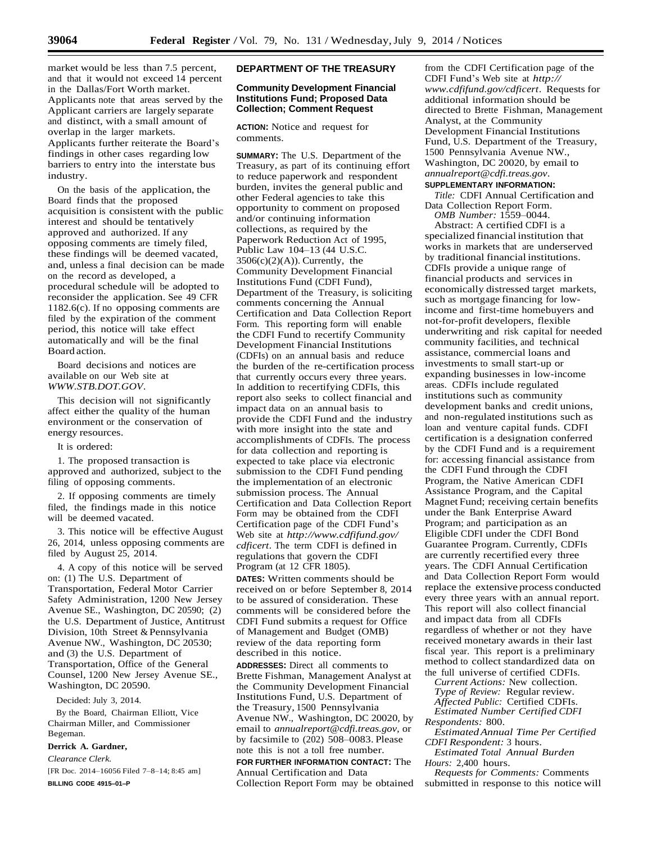market would be less than 7.5 percent, and that it would not exceed 14 percent in the Dallas/Fort Worth market. Applicants note that areas served by the Applicant carriers are largely separate and distinct, with a small amount of overlap in the larger markets. Applicants further reiterate the Board's findings in other cases regarding low barriers to entry into the interstate bus industry.

On the basis of the application, the Board finds that the proposed acquisition is consistent with the public interest and should be tentatively approved and authorized. If any opposing comments are timely filed, these findings will be deemed vacated, and, unless a final decision can be made on the record as developed, a procedural schedule will be adopted to reconsider the application. See 49 CFR 1182.6(c). If no opposing comments are filed by the expiration of the comment period, this notice will take effect automatically and will be the final Board action.

Board decisions and notices are available on our Web site at *[WWW.STB.DOT.GOV](http://www.stb.dot.gov/)*.

This decision will not significantly affect either the quality of the human environment or the conservation of energy resources.

It is ordered:

1. The proposed transaction is approved and authorized, subject to the filing of opposing comments.

2. If opposing comments are timely filed, the findings made in this notice will be deemed vacated.

3. This notice will be effective August 26, 2014, unless opposing comments are filed by August 25, 2014.

4. A copy of this notice will be served on: (1) The U.S. Department of Transportation, Federal Motor Carrier Safety Administration, 1200 New Jersey Avenue SE., Washington, DC 20590; (2) the U.S. Department of Justice, Antitrust Division, 10th Street & Pennsylvania Avenue NW., Washington, DC 20530; and (3) the U.S. Department of Transportation, Office of the General Counsel, 1200 New Jersey Avenue SE., Washington, DC 20590.

Decided: July 3, 2014.

By the Board, Chairman Elliott, Vice Chairman Miller, and Commissioner Begeman.

## **Derrick A. Gardner,**

*Clearance Clerk.*

[FR Doc. 2014–16056 Filed 7-8-14; 8:45 am] **BILLING CODE 4915–01–P**

# **DEPARTMENT OF THE TREASURY**

# **Community Development Financial Institutions Fund; Proposed Data Collection; Comment Request**

**ACTION:** Notice and request for comments.

**SUMMARY:** The U.S. Department of the Treasury, as part of its continuing effort to reduce paperwork and respondent burden, invites the general public and other Federal agencies to take this opportunity to comment on proposed and/or continuing information collections, as required by the Paperwork Reduction Act of 1995, Public Law 104–13 (44 U.S.C.  $3506(c)(2)(A)$ ). Currently, the Community Development Financial Institutions Fund (CDFI Fund), Department of the Treasury, is soliciting comments concerning the Annual Certification and Data Collection Report Form. This reporting form will enable the CDFI Fund to recertify Community Development Financial Institutions (CDFIs) on an annual basis and reduce the burden of the re-certification process that currently occurs every three years. In addition to recertifying CDFIs, this report also seeks to collect financial and impact data on an annual basis to provide the CDFI Fund and the industry with more insight into the state and accomplishments of CDFIs. The process for data collection and reporting is expected to take place via electronic submission to the CDFI Fund pending the implementation of an electronic submission process. The Annual Certification and Data Collection Report Form may be obtained from the CDFI Certification page of the CDFI Fund's Web site at *[http://www.cdfifund.gov/](http://www.cdfifund.gov/cdficert) [cdficert](http://www.cdfifund.gov/cdficert)*. The term CDFI is defined in regulations that govern the CDFI Program (at 12 CFR 1805).

**DATES:** Written comments should be received on or before September 8, 2014 to be assured of consideration. These comments will be considered before the CDFI Fund submits a request for Office of Management and Budget (OMB) review of the data reporting form described in this notice.

**ADDRESSES:** Direct all comments to Brette Fishman, Management Analyst at the Community Development Financial Institutions Fund, U.S. Department of the Treasury, 1500 Pennsylvania Avenue NW., Washington, DC 20020, by email to *[annualreport@cdfi.treas.gov,](mailto:annualreport@cdfi.treas.gov)* or by facsimile to (202) 508–0083. Please note this is not a toll free number. **FOR FURTHER INFORMATION CONTACT:** The

Annual Certification and Data Collection Report Form may be obtained from the CDFI Certification page of the CDFI Fund's Web site at *[http://](http://www.cdfifund.gov/cdficert)  [www.cdfifund.gov/cdficert](http://www.cdfifund.gov/cdficert)*. Requests for additional information should be directed to Brette Fishman, Management Analyst, at the Community Development Financial Institutions Fund, U.S. Department of the Treasury, 1500 Pennsylvania Avenue NW., Washington, DC 20020, by email to *[annualreport@cdfi.treas.gov](mailto:annualreport@cdfi.treas.gov)*.

# **SUPPLEMENTARY INFORMATION:**

*Title:* CDFI Annual Certification and Data Collection Report Form.

*OMB Number:* 1559–0044. Abstract: A certified CDFI is a

specialized financial institution that works in markets that are underserved by traditional financial institutions. CDFIs provide a unique range of financial products and services in economically distressed target markets, such as mortgage financing for lowincome and first-time homebuyers and not-for-profit developers, flexible underwriting and risk capital for needed community facilities, and technical assistance, commercial loans and investments to small start-up or expanding businesses in low-income areas. CDFIs include regulated institutions such as community development banks and credit unions, and non-regulated institutions such as loan and venture capital funds. CDFI certification is a designation conferred by the CDFI Fund and is a requirement for: accessing financial assistance from the CDFI Fund through the CDFI Program, the Native American CDFI Assistance Program, and the Capital Magnet Fund; receiving certain benefits under the Bank Enterprise Award Program; and participation as an Eligible CDFI under the CDFI Bond Guarantee Program. Currently, CDFIs are currently recertified every three years. The CDFI Annual Certification and Data Collection Report Form would replace the extensive process conducted every three years with an annual report. This report will also collect financial and impact data from all CDFIs regardless of whether or not they have received monetary awards in their last fiscal year. This report is a preliminary method to collect standardized data on the full universe of certified CDFIs.

*Current Actions:* New collection.

*Type of Review:* Regular review. *Affected Public:* Certified CDFIs.

*Estimated Number Certified CDFI Respondents:* 800.

*EstimatedAnnual Time Per Certified CDFI Respondent:* 3 hours.

*Estimated Total Annual Burden Hours:* 2,400 hours.

*Requests for Comments:* Comments submitted in response to this notice will